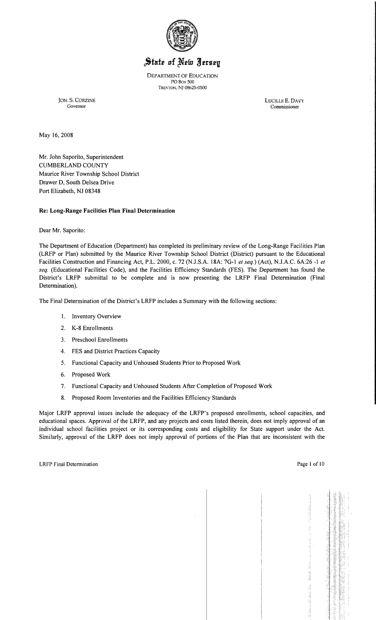

# State of New Jersey

DEPARTMENT OF EDUCATION POBox 500 TRENTON, NJ 08625-0500

JON. S. CORZINE LUCILLE E. DAVY Commissioner

May 16,2008

Mr. John Saporito, Superintendent CUMBERLAND COUNTY Maurice River Township School District Drawer D, South Delsea Drive Port Elizabeth, NJ 08348

# **Re: Long-Range Facilities Plan Final Determination**

Dear Mr. Saporito:

The Department of Education (Department) has completed its preliminary review of the Long-Range Facilities Plan (LRFP or Plan) submitted by the Maurice River Township School District (District) pursuant to the Educational Facilities Construction and Financing Act, P.L. 2000, c. 72 (NJ.S.A. 18A: 7G-I *et seq.)* (Act), N.lA.C. 6A:26 -I *et seq.* (Educational Facilities Code), and the Facilities Efficiency Standards (FES). The Department has found the District's LRFP submittal to be complete and is now presenting the LRFP Final Determination (Final Determination).

The Final Determination of the District's LRFP includes a Summary with the following sections:

- I. Inventory Overview
- 2. K-8 Enrollments
- 3. Preschool Enrollments
- 4. FES and District Practices Capacity
- 5. Functional Capacity and Unhoused Students Prior to Proposed Work
- 6. Proposed Work
- 7. Functional Capacity and Unhoused Students After Completion of Proposed Work
- 8. Proposed Room Inventories and the Facilities Efficiency Standards

Major LRFP approval issues include the adequacy of the LRFP's proposed enrollments, school capacities, and educational spaces. Approval of the LRFP, and any projects and costs listed therein, does not imply approval of an individual school facilities project or its corresponding costs and eligibility for State support under the Act. Similarly, approval of the LRFP does not imply approval of portions of the Plan that are inconsistent with the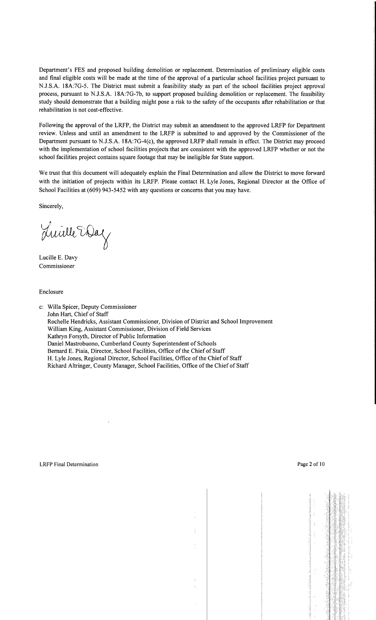Department's FES and proposed building demolition or replacement. Determination of preliminary eligible costs and final eligible costs will be made at the time of the approval of a particular school facilities project pursuant to NJ.S.A. 18A:7G-5. The District must submit a feasibility study as part of the school facilities project approval process, pursuant to NJ.S.A. 18A:7G-7b, to support proposed building demolition or replacement. The feasibility study should demonstrate that a building might pose a risk to the safety of the occupants after rehabilitation or that rehabilitation is not cost-effective.

Following the approval of the LRFP, the District may submit an amendment to the approved LRFP for Department review. Unless and until an amendment to the LRFP is submitted to and approved by the Commissioner of the Department pursuant to N.J.S.A. 18A:7G-4(c), the approved LRFP shall remain in effect. The District may proceed with the implementation of school facilities projects that are consistent with the approved LRFP whether or not the school facilities project contains square footage that may be ineligible for State support.

We trust that this document will adequately explain the Final Determination and allow the District to move forward with the initiation of projects within its LRFP. Please contact H. Lyle Jones, Regional Director at the Office of School Facilities at (609) 943-5452 with any questions or concerns that you may have.

Sincerely,

Luille Way

Lucille E. Davy Commissioner

Enclosure

c: Willa Spicer, Deputy Commissioner John Hart, Chief of Staff Rochelle Hendricks, Assistant Commissioner, Division of District and School Improvement William King, Assistant Commissioner, Division of Field Services Kathryn Forsyth, Director of Public Information Daniel Mastrobuono, Cumberland County Superintendent of Schools Bernard E. Piaia, Director, School Facilities, Office of the Chief of Staff H. Lyle Jones, Regional Director, School Facilities, Office of the Chief of Staff Richard Altringer, County Manager, School Facilities, Office of the Chief of Staff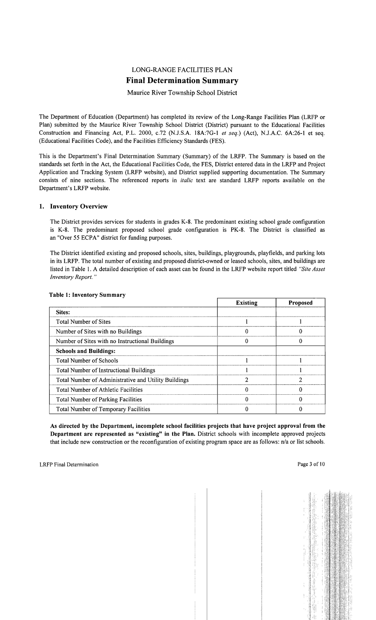# LONG-RANGE FACILITIES PLAN **Final Determination Summary**

# Maurice River Township School District

The Department of Education (Department) has completed its review of the Long-Range Facilities Plan (LRFP or Plan) submitted by the Maurice River Township School District (District) pursuant to the Educational Facilities Construction and Financing Act, P.L. 2000, c.72 (N.J.S.A. 18A:7G-l *et seq.)* (Act), NJ.A.C. 6A:26-1 et seq. (Educational Facilities Code), and the Facilities Efficiency Standards (FES).

This is the Department's Final Determination Summary (Summary) of the LRFP. The Summary is based on the standards set forth in the Act, the Educational Facilities Code, the FES, District entered data in the LRFP and Project Application and Tracking System (LRFP website), and District supplied supporting documentation. The Summary consists of nine sections. The referenced reports in *italic* text are standard LRFP reports available on the Department's LRFP website.

# 1. Inventory Overview

The District provides services for students in grades K-8. The predominant existing school grade configuration is K-8. The predominant proposed school grade configuration is PK-8. The District is classified as an "Over 55 ECPA" district for funding purposes.

The District identified existing and proposed schools, sites, buildings, playgrounds, playfields, and parking lots in its LRFP. The total number of existing and proposed district-owned or leased schools, sites, and buildings are listed in Table 1. A detailed description of each asset can be found in the LRFP website report titled *"Site Asset Inventory Report. "* 

|                                                      | <b>Existing</b> | <b>Proposed</b> |
|------------------------------------------------------|-----------------|-----------------|
| Sites:                                               |                 |                 |
| <b>Total Number of Sites</b>                         |                 |                 |
| Number of Sites with no Buildings                    |                 |                 |
| Number of Sites with no Instructional Buildings      |                 |                 |
| <b>Schools and Buildings:</b>                        |                 |                 |
| <b>Total Number of Schools</b>                       |                 |                 |
| <b>Total Number of Instructional Buildings</b>       |                 |                 |
| Total Number of Administrative and Utility Buildings |                 |                 |
| Total Number of Athletic Facilities                  |                 |                 |
| <b>Total Number of Parking Facilities</b>            |                 |                 |
| <b>Total Number of Temporary Facilities</b>          |                 |                 |

### Table 1: Inventory Summary

As directed by the Department, incomplete school facilities projects that have project approval from the Department are represented as "existing" in the Plan. District schools with incomplete approved projects that include new construction or the reconfiguration of existing program space are as follows: n/a or list schools.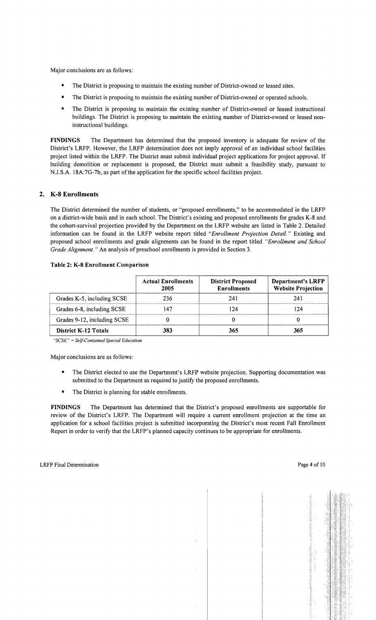Major conclusions are as follows:

- The District is proposing to maintain the existing number of District-owned or leased sites.
- The District is proposing to maintain the existing number of District-owned or operated schools.
- The District is proposing to maintain the existing number of District-owned or leased instructional buildings. The District is proposing to maintain the existing number of District-owned or leased noninstructional buildings.

FINDINGS The Department has determined that the proposed inventory is adequate for review of the District's LRFP. However, the LRFP determination does not imply approval of an individual school facilities project listed within the LRFP. The District must submit individual project applications for project approval. If building demolition or replacement is proposed, the District must submit a feasibility study, pursuant to N.J.S.A. 18A:7G-7b, as part of the application for the specific school facilities project.

# 2. K-8 Enrollments

The District determined the number of students, or "proposed enrollments," to be accommodated in the LRFP on a district-wide basis and in each school. The District's existing and proposed enrollments for grades K-8 and the cohort-survival projection provided by the Department on the LRFP website are listed in Table 2. Detailed information can be found in the LRFP website report titled *"Enrollment Projection Detail."* Existing and proposed school enrollments and grade alignments can be found in the report titled *"Enrollment and School Grade Alignment.* " An analysis of preschool enrollments is provided in Section 3.

|                             | <b>Actual Enrollments</b><br>2005 | <b>District Proposed</b><br><b>Enrollments</b> | <b>Department's LRFP</b><br><b>Website Projection</b> |
|-----------------------------|-----------------------------------|------------------------------------------------|-------------------------------------------------------|
| Grades K-5, including SCSE  | 236                               | 241                                            | 241                                                   |
| Grades 6-8, including SCSE  | 47                                | 24                                             | 124                                                   |
| Grades 9-12, including SCSE |                                   |                                                |                                                       |
| <b>District K-12 Totals</b> | 383                               | 365                                            | 365                                                   |

#### Table 2: K-8 Enrollment Comparison

*"SCSE"* = *Self-Contained Special Education* 

Major conclusions are as follows:

- The District elected to use the Department's LRFP website projection. Supporting documentation was submitted to the Department as required to justify the proposed enrollments.
- The District is planning for stable enrollments.

FINDINGS The Department has determined that the District's proposed enrollments are supportable for review of the District's LRFP. The Department will require a current enrollment projection at the time an application for a school facilities project is submitted incorporating the District's most recent Fall Enrollment Report in order to verify that the LRFP's planned capacity continues to be appropriate for enrollments.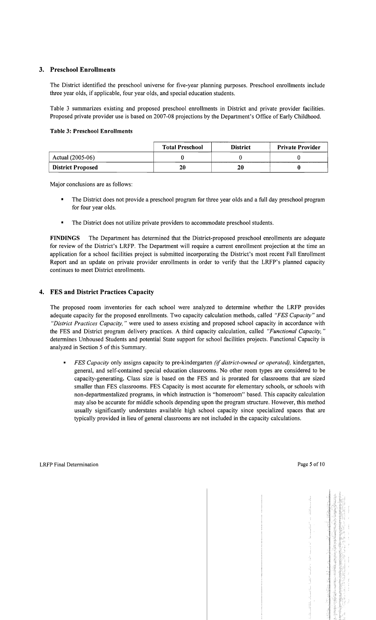# 3. Preschool Enrollments

The District identified the preschool universe for five-year planning purposes. Preschool enrollments include three year olds, if applicable, four year olds, and special education students.

Table 3 summarizes existing and proposed preschool enrollments in District and private provider facilities. Proposed private provider use is based on 2007-08 projections by the Department's Office of Early Childhood.

#### Table 3: Preschool Enrollments

|                          | <b>Total Preschool</b> | <b>District</b> | <b>Private Provider</b> |
|--------------------------|------------------------|-----------------|-------------------------|
| Actual (2005-06)         |                        |                 |                         |
| <b>District Proposed</b> | 20                     | 20              |                         |

Major conclusions are as follows:

- The District does not provide a preschool program for three year olds and a full day preschool program for four year olds.
- The District does not utilize private providers to accommodate preschool students.

FINDINGS The Department has determined that the District-proposed preschool enrollments are adequate for review of the District's LRFP. The Department will require a current enrollment projection at the time an application for a school facilities project is submitted incorporating the District's most recent Fall Enrollment Report and an update on private provider enrollments in order to verify that the LRFP's planned capacity continues to meet District enrollments.

# 4. FES and District Practices Capacity

The proposed room inventories for each school were analyzed to determine whether the LRFP provides adequate capacity for the proposed enrollments. Two capacity calculation methods, called *"FES Capacity"* and *"District Practices Capacity,* " were used to assess existing and proposed school capacity in accordance with the FES and District program delivery practices. A third capacity calculation, called *"Functional Capacity, "*  determines Unhoused Students and potential State support for school facilities projects. Functional Capacity is analyzed in Section 5 of this Summary.

*FES Capacity* only assigns capacity to pre-kindergarten *(if district-owned or operated),* kindergarten, general, and self-contained special education classrooms. No other room types are considered to be capacity-generating. Class size is based on the FES and is prorated for classrooms that are sized smaller than FES classrooms. FES Capacity is most accurate for elementary schools, or schools with non-departmentalized programs, in which instruction is "homeroom" based. This capacity calculation may also be accurate for middle schools depending upon the program structure. However, this method usually significantly understates available high school capacity since specialized spaces that are typically provided in lieu of general classrooms are not included in the capacity calculations.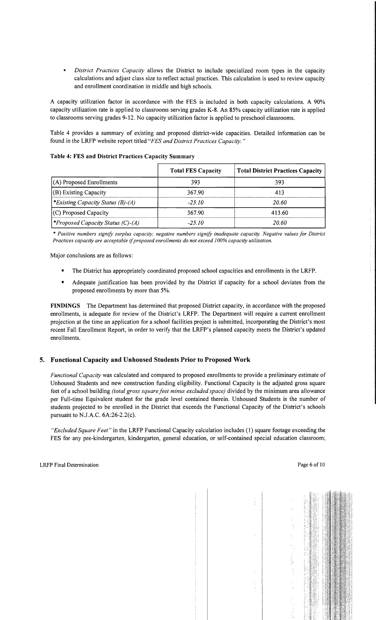*District Practices Capacity* allows the District to include specialized room types in the capacity calculations and adjust class size to reflect actual practices. This calculation is used to review capacity and enrollment coordination in middle and high schools.

A capacity utilization factor in accordance with the FES is included in both capacity calculations. A 90% capacity utilization rate is applied to classrooms serving grades K-8. An 85% capacity utilization rate is applied to classrooms serving grades 9-12. No capacity utilization factor is applied to preschool classrooms.

Table 4 provides a summary of existing and proposed district-wide capacities. Detailed information can be found in the LRFP website report titled *"FES and District Practices Capacity. "* 

|                                                 | <b>Total FES Capacity</b> | Total District Practices Capacity |
|-------------------------------------------------|---------------------------|-----------------------------------|
| $(A)$ Proposed Enrollments                      | 393                       | 393                               |
| (B) Existing Capacity                           | 367.90                    | 413                               |
| <i>*Existing Capacity Status (B)-(A)</i>        | $-25.10$                  | 20.60                             |
| (C) Proposed Capacity                           | 367.90                    | 413.60                            |
| <i><b>*Proposed Capacity Status (C)-(A)</b></i> | -25.10                    | 20.60                             |

#### Table 4: FES and District Practices Capacity Summary

\* *Positive numbers signify surplus capacity; negative numbers signify inadequate capacity. Negative values for District Practices capacity are acceptable* if*proposed enrollments do not exceed* J*00% capacity utilization.* 

Major conclusions are as follows:

- The District has appropriately coordinated proposed school capacities and enrollments in the LRFP.
- Adequate justification has been provided by the District if capacity for a school deviates from the proposed enrollments by more than 5%.

FINDINGS The Department has determined that proposed District capacity, in accordance with the proposed enrollments, is adequate for review of the District's LRFP. The Department will require a current enrollment projection at the time an application for a school facilities project is submitted, incorporating the District's most recent Fall Enrollment Report, in order to verify that the LRFP's planned capacity meets the District's updated enrollments.

### 5. Functional Capacity and Unhoused Students Prior to Proposed Work

*Functional Capacity* was calculated and compared to proposed enrollments to provide a preliminary estimate of Unhoused Students and new construction funding eligibility. Functional Capacity is the adjusted gross square feet of a school building *(total gross square feet minus excluded space)* divided by the minimum area allowance per Full-time Equivalent student for the grade level contained therein. Unhoused Students is the number of students projected to be enrolled in the District that exceeds the Functional Capacity of the District's schools pursuant to N.J.A.C. 6A:26-2.2(c).

*"Excluded Square Feet"* in the LRFP Functional Capacity calculation includes (1) square footage exceeding the FES for any pre-kindergarten, kindergarten, general education, or self-contained special education classroom;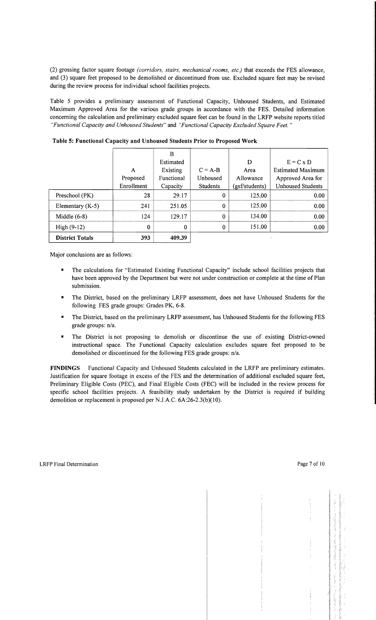(2) grossing factor square footage *(corridors, stairs, mechanical rooms, etc.)* that exceeds the FES allowance, and (3) square feet proposed to be demolished or discontinued from use. Excluded square feet may be revised during the review process for individual school facilities projects.

Table 5 provides a preliminary assessment of Functional Capacity, Unhoused Students, and Estimated Maximum Approved Area for the various grade groups in accordance with the FES. Detailed information concerning the calculation and preliminary excluded square feet can be found in the LRFP website reports titled *"Functional Capacity and Unhoused Students"* and *"Functional Capacity Excluded Square Feet. "* 

|                        |            | B          |           |                |                          |
|------------------------|------------|------------|-----------|----------------|--------------------------|
|                        |            | Estimated  |           | D              | $E = C \times D$         |
|                        | A          | Existing   | $C = A-B$ | Area           | <b>Estimated Maximum</b> |
|                        | Proposed   | Functional | Unhoused  | Allowance      | Approved Area for        |
|                        | Enrollment | Capacity   | Students  | (gsf/students) | <b>Unhoused Students</b> |
| Preschool (PK)         | 28         | 29.17      | 0         | 125.00         | 0.00                     |
| Elementary $(K-5)$     | 241        | 251.05     | 0         | 125.00         | 0.00                     |
| Middle $(6-8)$         | 124        | 129.17     | $\bf{0}$  | 134.00         | 0.00                     |
| $High (9-12)$          | 0          | 0          | 0         | 151.00         | 0.00                     |
| <b>District Totals</b> | 393        | 409.39     |           |                |                          |

Table 5: Functional Capacity and Unhoused Students Prior to Proposed Work

Major conclusions are as follows:

- The calculations for "Estimated Existing Functional Capacity" include school facilities projects that have been approved by the Department but were not under construction or complete at the time of Plan submission.
- The District, based on the preliminary LRFP assessment, does not have Unhoused Students for the following FES grade groups: Grades PK, 6-8.
- The District, based on the preliminary LRFP assessment, has Unhoused Students for the following FES grade groups: n/a.
- The District is not proposing to demolish or discontinue the use of existing District-owned instructional space. The Functional Capacity calculation excludes square feet proposed to be demolished or discontinued for the following FES grade groups: n/a.

FINDINGS Functional Capacity and Unhoused Students calculated in the LRFP are preliminary estimates. Justification for square footage in excess of the FES and the determination of additional excluded square feet, Preliminary Eligible Costs (PEC), and Final Eligible Costs (FEC) will be included in the review process for specific school facilities projects. A feasibility study undertaken by the District is required if building demolition or replacement is proposed per NJ.A.C. 6A:26-2.3(b)(10).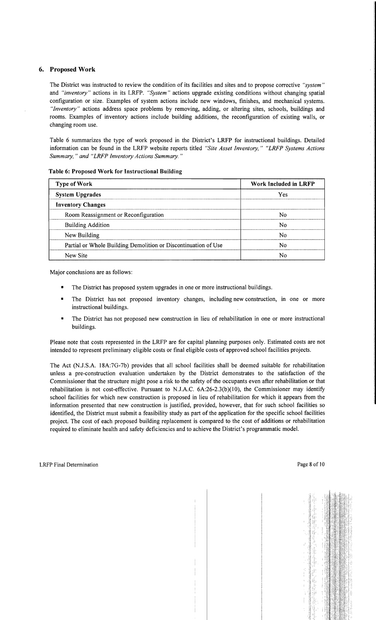# 6. Proposed Work

The District was instructed to review the condition of its facilities and sites and to propose corrective *"system"*  and *"inventory"* actions in its LRFP. *"System"* actions upgrade existing conditions without changing spatial configuration or size. Examples of system actions include new windows, finishes, and mechanical systems. *"Inventory"* actions address space problems by removing, adding, or altering sites, schools, buildings and rooms. Examples of inventory actions include building additions, the reconfiguration of existing walls, or changing room use.

Table 6 summarizes the type of work proposed in the District's LRFP for instructional buildings. Detailed information can be found in the LRFP website reports titled *"Site Asset Inventory," "LRFP Systems Actions Summary,* " *and "LRFP Inventory Actions Summary. "* 

| <b>Type of Work</b>                                            | Work Included in LRFP |
|----------------------------------------------------------------|-----------------------|
| <b>System Upgrades</b>                                         | Yes                   |
| <b>Inventory Changes</b>                                       |                       |
| Room Reassignment or Reconfiguration                           | N٥                    |
| <b>Building Addition</b>                                       | N٥                    |
| New Building                                                   | N٥                    |
| Partial or Whole Building Demolition or Discontinuation of Use | N٥                    |
| New Site                                                       |                       |

#### Table 6: Proposed Work for Instructional Building

Major conclusions are as follows:

- The District has proposed system upgrades in one or more instructional buildings.
- The District has not proposed inventory changes, including new construction, in one or more instructional buildings.
- The District has not proposed new construction in lieu of rehabilitation in one or more instructional buildings.

Please note that costs represented in the LRFP are for capital planning purposes only. Estimated costs are not intended to represent preliminary eligible costs or final eligible costs of approved school facilities projects.

The Act (N.J.S.A. 18A:7G-7b) provides that all school facilities shall be deemed suitable for rehabilitation unless a pre-construction evaluation undertaken by the District demonstrates to the satisfaction of the Commissioner that the structure might pose a risk to the safety of the occupants even after rehabilitation or that rehabilitation is not cost-effective. Pursuant to N.J.A.C. 6A:26-2.3(b)(10), the Commissioner may identify school facilities for which new construction is proposed in lieu of rehabilitation for which it appears from the information presented that new construction is justified, provided, however, that for such school facilities so identified, the District must submit a feasibility study as part of the application for the specific school facilities project. The cost of each proposed building replacement is compared to the cost of additions or rehabilitation required to eliminate health and safety deficiencies and to achieve the District's programmatic model.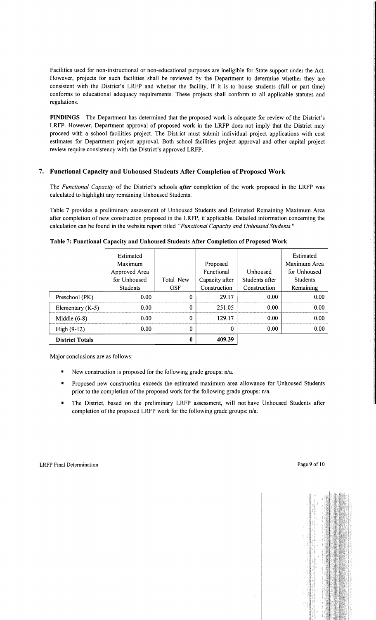Facilities used for non-instructional or non-educational purposes are ineligible for State support under the Act. However, projects for such facilities shall be reviewed by the Department to determine whether they are consistent with the District's LRFP and whether the facility, if it is to house students (full or part time) conforms to educational adequacy requirements. These projects shall conform to all applicable statutes and regulations.

FINDINGS The Department has determined that the proposed work is adequate for review of the District's LRFP. However, Department approval of proposed work in the LRFP does not imply that the District may proceed with a school facilities project. The District must submit individual project applications with cost estimates for Department project approval. Both school facilities project approval and other capital project review require consistency with the District's approved LRFP.

# 7. Functional Capacity and Unhoused Students After Completion of Proposed Work

The *Functional Capacity* of the District's schools *after* completion of the work proposed in the LRFP was calculated to highlight any remaining Unhoused Students.

Table 7 provides a preliminary assessment of Unhoused Students and Estimated Remaining Maximum Area after completion of new construction proposed in the LRFP, if applicable. Detailed information concerning the calculation can be found in the website report titled *"Functional Capacity and Unhoused Students."* 

|                        | Estimated<br>Maximum<br>Approved Area |            | Proposed<br>Functional | Unhoused       | Estimated<br>Maximum Area<br>for Unhoused |
|------------------------|---------------------------------------|------------|------------------------|----------------|-------------------------------------------|
|                        | for Unhoused                          | Total New  | Capacity after         | Students after | <b>Students</b>                           |
|                        | <b>Students</b>                       | <b>GSF</b> | Construction           | Construction   | Remaining                                 |
| Preschool (PK)         | 0.00 <sub>1</sub>                     | $\Omega$   | 29.17                  | 0.00           | 0.00                                      |
| Elementary $(K-5)$     | 0.00                                  | 0          | 251.05                 | 0.00           | 0.00                                      |
| Middle $(6-8)$         | 0.00                                  | 0          | 129.17                 | 0.00           | 0.00                                      |
| High $(9-12)$          | 0.00                                  | 0          | 0                      | 0.00           | 0.00                                      |
| <b>District Totals</b> |                                       | 0          | 409.39                 |                |                                           |

Table 7: Functional Capacity and Unhoused Students After Completion of Proposed Work

Major conclusions are as follows:

- New construction is proposed for the following grade groups:  $n/a$ .
- Proposed new construction exceeds the estimated maximum area allowance for Unhoused Students prior to the completion of the proposed work for the following grade groups: n/a.
- The District, based on the preliminary LRFP assessment, will not have Unhoused Students after completion of the proposed LRFP work for the following grade groups: n/a.